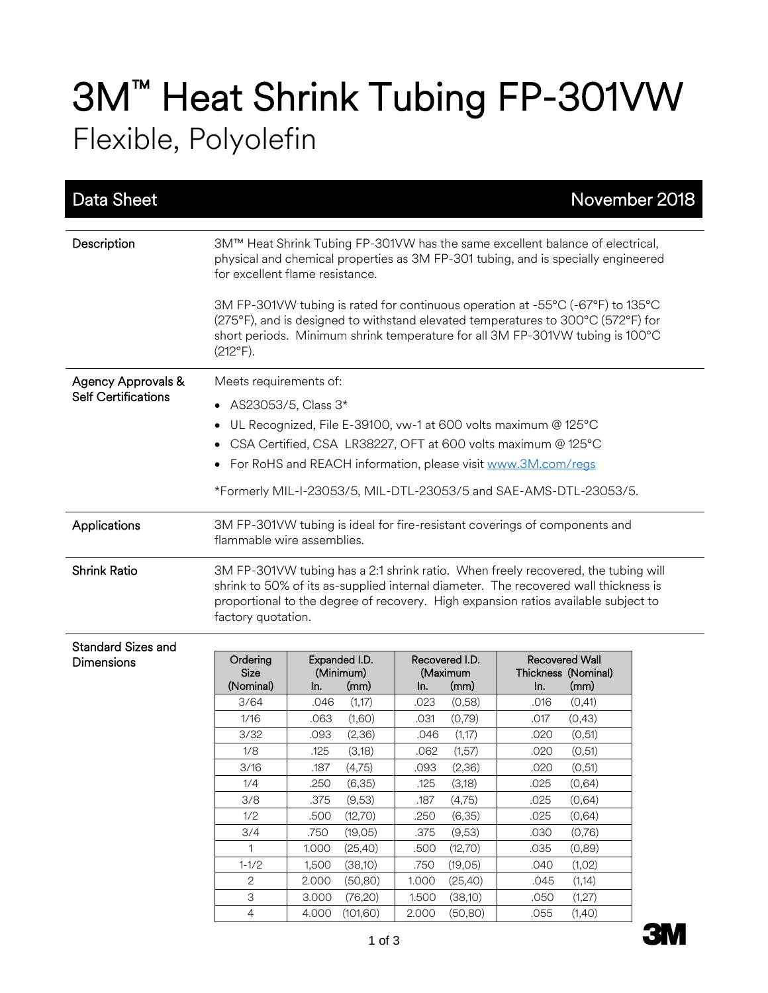## 3M™ Heat Shrink Tubing FP-301VW Flexible, Polyolefin

| Data Sheet                                       |                                                                                                                                                                                                                                                                                      |                                                                                                                                                                                                |                |                                                                                                                                                                                                                                                                                                                                                                                                                           | November 2018 |
|--------------------------------------------------|--------------------------------------------------------------------------------------------------------------------------------------------------------------------------------------------------------------------------------------------------------------------------------------|------------------------------------------------------------------------------------------------------------------------------------------------------------------------------------------------|----------------|---------------------------------------------------------------------------------------------------------------------------------------------------------------------------------------------------------------------------------------------------------------------------------------------------------------------------------------------------------------------------------------------------------------------------|---------------|
| Description                                      | $(212^{\circ}F).$                                                                                                                                                                                                                                                                    | for excellent flame resistance.                                                                                                                                                                |                | 3M™ Heat Shrink Tubing FP-301VW has the same excellent balance of electrical,<br>physical and chemical properties as 3M FP-301 tubing, and is specially engineered<br>3M FP-301VW tubing is rated for continuous operation at -55°C (-67°F) to 135°C<br>(275°F), and is designed to withstand elevated temperatures to 300°C (572°F) for<br>short periods. Minimum shrink temperature for all 3M FP-301VW tubing is 100°C |               |
| Agency Approvals &<br><b>Self Certifications</b> | Meets requirements of:<br>AS23053/5, Class 3*<br>$\bullet$<br>$\bullet$<br>$\bullet$                                                                                                                                                                                                 | UL Recognized, File E-39100, vw-1 at 600 volts maximum @ 125°C<br>CSA Certified, CSA LR38227, OFT at 600 volts maximum @ 125°C<br>For RoHS and REACH information, please visit www.3M.com/regs |                | *Formerly MIL-I-23053/5, MIL-DTL-23053/5 and SAE-AMS-DTL-23053/5.                                                                                                                                                                                                                                                                                                                                                         |               |
| Applications                                     |                                                                                                                                                                                                                                                                                      | flammable wire assemblies.                                                                                                                                                                     |                | 3M FP-301VW tubing is ideal for fire-resistant coverings of components and                                                                                                                                                                                                                                                                                                                                                |               |
| <b>Shrink Ratio</b>                              | 3M FP-301VW tubing has a 2:1 shrink ratio. When freely recovered, the tubing will<br>shrink to 50% of its as-supplied internal diameter. The recovered wall thickness is<br>proportional to the degree of recovery. High expansion ratios available subject to<br>factory quotation. |                                                                                                                                                                                                |                |                                                                                                                                                                                                                                                                                                                                                                                                                           |               |
| Standard Sizes and<br>Dimensions                 | Ordering                                                                                                                                                                                                                                                                             | Expanded I.D.                                                                                                                                                                                  | Recovered I.D. | <b>Recovered Wall</b>                                                                                                                                                                                                                                                                                                                                                                                                     |               |

| <b>Dimensions</b> | Ordering<br><b>Size</b><br>(Nominal) | Expanded I.D.<br>(Minimum)<br>(mm)<br>In. | Recovered I.D.<br>(Maximum<br>(mm)<br>In. | <b>Recovered Wall</b><br>Thickness (Nominal)<br>(mm)<br>In. |
|-------------------|--------------------------------------|-------------------------------------------|-------------------------------------------|-------------------------------------------------------------|
|                   | 3/64                                 | (1,17)<br>.046                            | (0,58)<br>.023                            | (0,41)<br>.016                                              |
|                   | 1/16                                 | (1,60)<br>.063                            | (0,79)<br>.031                            | (0, 43)<br>.017                                             |
|                   | 3/32                                 | (2,36)<br>.093                            | (1,17)<br>.046                            | (0,51)<br>.020                                              |
|                   | 1/8                                  | (3,18)<br>.125                            | .062<br>(1,57)                            | (0,51)<br>.020                                              |
|                   | 3/16                                 | (4,75)<br>.187                            | (2,36)<br>.093                            | (0,51)<br>.020                                              |
|                   | 1/4                                  | (6,35)<br>.250                            | (3,18)<br>.125                            | (0,64)<br>.025                                              |
|                   | 3/8                                  | (9,53)<br>.375                            | (4,75)<br>.187                            | (0,64)<br>.025                                              |
|                   | 1/2                                  | (12,70)<br>.500                           | (6,35)<br>.250                            | (0,64)<br>.025                                              |
|                   | 3/4                                  | (19,05)<br>.750                           | (9,53)<br>.375                            | (0,76)<br>.030                                              |
|                   |                                      | (25, 40)<br>1.000                         | (12,70)<br>.500                           | (0,89)<br>.035                                              |
|                   | $1 - 1/2$                            | (38,10)<br>1,500                          | (19,05)<br>.750                           | (1,02)<br>.040                                              |
|                   | $\mathbf{2}^{\prime}$                | (50, 80)<br>2.000                         | (25, 40)<br>1.000                         | (1, 14)<br>.045                                             |
|                   | 3                                    | 3.000<br>(76,20)                          | 1.500<br>(38,10)                          | (1,27)<br>.050                                              |
|                   | 4                                    | (101,60)<br>4.000                         | (50, 80)<br>2.000                         | (1,40)<br>.055                                              |

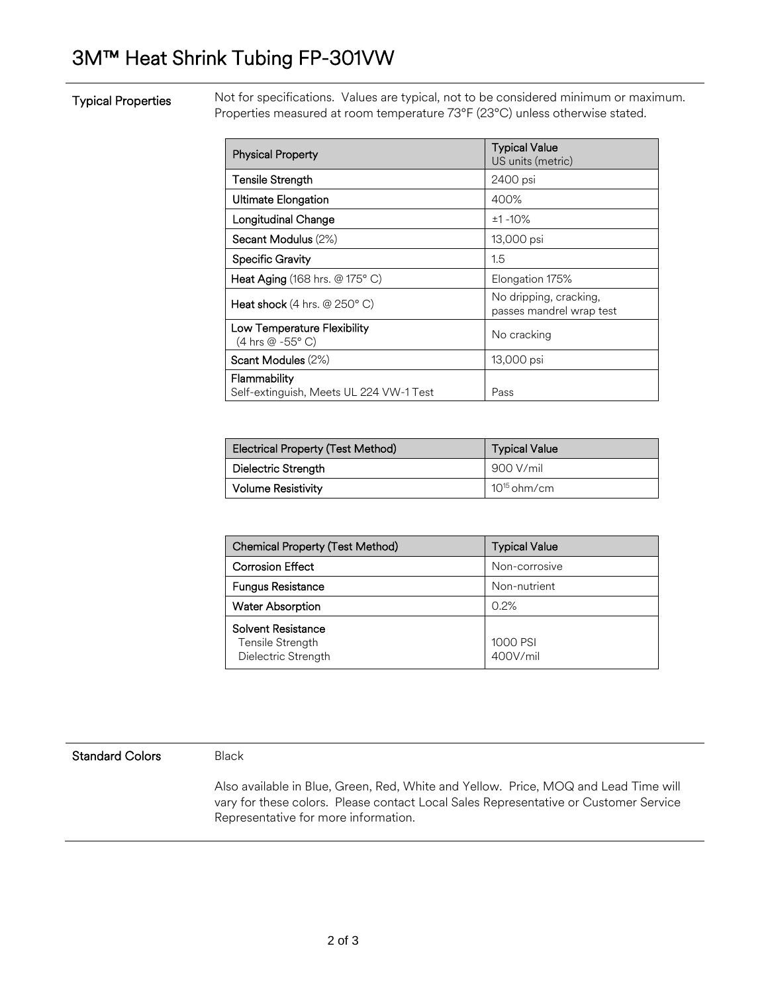## 3M™ Heat Shrink Tubing FP-301VW

## Typical Properties

Not for specifications. Values are typical, not to be considered minimum or maximum. Properties measured at room temperature 73°F (23°C) unless otherwise stated.

| <b>Physical Property</b>                                | <b>Typical Value</b><br>US units (metric)          |
|---------------------------------------------------------|----------------------------------------------------|
| <b>Tensile Strength</b>                                 | 2400 psi                                           |
| <b>Ultimate Elongation</b>                              | 400%                                               |
| Longitudinal Change                                     | $±1 - 10%$                                         |
| Secant Modulus (2%)                                     | 13,000 psi                                         |
| <b>Specific Gravity</b>                                 | 1.5                                                |
| <b>Heat Aging</b> (168 hrs. $@175°$ C)                  | Elongation 175%                                    |
| Heat shock $(4 \text{ hrs.} \ @ 250^{\circ} \text{ C})$ | No dripping, cracking,<br>passes mandrel wrap test |
| Low Temperature Flexibility<br>(4 hrs @ -55° C)         | No cracking                                        |
| Scant Modules (2%)                                      | 13,000 psi                                         |
| Flammability<br>Self-extinguish, Meets UL 224 VW-1 Test | Pass                                               |

| Electrical Property (Test Method) | <b>Typical Value</b> |  |
|-----------------------------------|----------------------|--|
| Dielectric Strength               | 900 V/mil            |  |
| <b>Volume Resistivity</b>         | $10^{15}$ ohm/cm     |  |

| Chemical Property (Test Method)                               | <b>Typical Value</b> |
|---------------------------------------------------------------|----------------------|
| <b>Corrosion Effect</b>                                       | Non-corrosive        |
| <b>Fungus Resistance</b>                                      | Non-nutrient         |
| <b>Water Absorption</b>                                       | 0.2%                 |
| Solvent Resistance<br>Tensile Strength<br>Dielectric Strength | 1000 PSI<br>400V/mil |

## Standard Colors Black

Also available in Blue, Green, Red, White and Yellow. Price, MOQ and Lead Time will vary for these colors. Please contact Local Sales Representative or Customer Service Representative for more information.